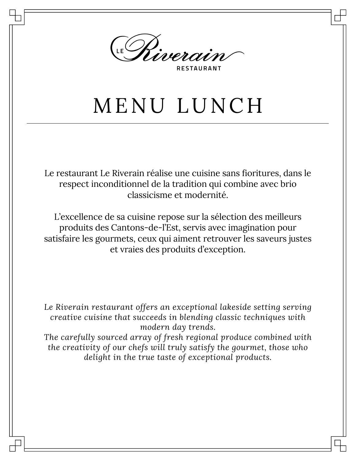

**RESTAURANT** 

## MENU LUNCH

Le restaurant Le Riverain réalise une cuisine sans fioritures, dans le respect inconditionnel de la tradition qui combine avec brio classicisme et modernité.

L'excellence de sa cuisine repose sur la sélection des meilleurs produits des Cantons-de-l'Est, servis avec imagination pour satisfaire les gourmets, ceux qui aiment retrouver les saveurs justes et vraies des produits d'exception.

*Le Riverain restaurant offers an exceptional lakeside setting serving creative cuisine that succeeds in blending classic techniques with modern day trends.*

*The carefully sourced array of fresh regional produce combined with the creativity of our chefs will truly satisfy the gourmet, those who delight in the true taste of exceptional products.*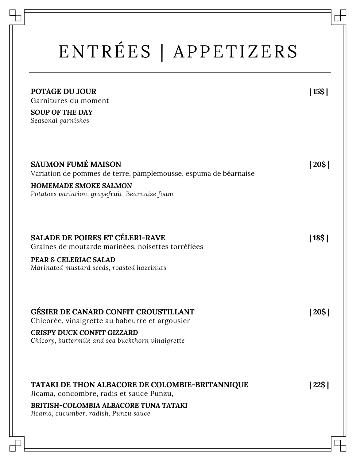## ENTRÉES | APPETIZERS

| <b>POTAGE DU JOUR</b><br>Garnitures du moment<br><b>SOUP OF THE DAY</b><br>Seasonal garnishes                                                                                               | 15\$ |
|---------------------------------------------------------------------------------------------------------------------------------------------------------------------------------------------|------|
| <b>SAUMON FUMÉ MAISON</b><br>Variation de pommes de terre, pamplemousse, espuma de béarnaise<br><b>HOMEMADE SMOKE SALMON</b><br>Potatoes variation, grapefruit, Bearnaise foam              | 20\$ |
| <b>SALADE DE POIRES ET CÉLERI-RAVE</b><br>Graines de moutarde marinées, noisettes torréfiées<br>PEAR & CELERIAC SALAD<br>Marinated mustard seeds, roasted hazelnuts                         | 18\$ |
| <b>GÉSIER DE CANARD CONFIT CROUSTILLANT</b><br>Chicorée, vinaigrette au babeurre et argousier<br><b>CRISPY DUCK CONFIT GIZZARD</b><br>Chicory, buttermilk and sea buckthorn vinaigrette     | 20\$ |
| <b>TATAKI DE THON ALBACORE DE COLOMBIE-BRITANNIQUE</b><br>Jicama, concombre, radis et sauce Punzu,<br><b>BRITISH-COLOMBIA ALBACORE TUNA TATAKI</b><br>Jicama, cucumber, radish, Punzu sauce | 22\$ |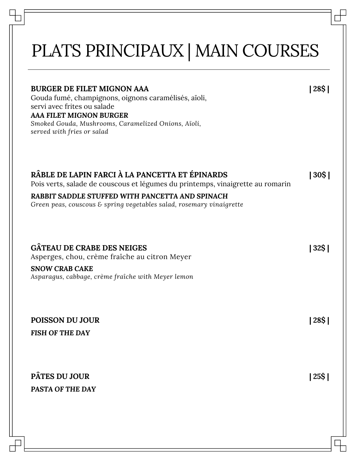## PLATS PRINCIPAUX | MAIN COURSES

| <b>BURGER DE FILET MIGNON AAA</b><br>Gouda fumé, champignons, oignons caramélisés, aïoli,<br>servi avec frites ou salade<br><b>AAA FILET MIGNON BURGER</b><br>Smoked Gouda, Mushrooms, Caramelized Onions, Aïoli,<br>served with fries or salad | 28\$ |
|-------------------------------------------------------------------------------------------------------------------------------------------------------------------------------------------------------------------------------------------------|------|
| RÂBLE DE LAPIN FARCI À LA PANCETTA ET ÉPINARDS<br>Pois verts, salade de couscous et légumes du printemps, vinaigrette au romarin                                                                                                                | 30\$ |
| RABBIT SADDLE STUFFED WITH PANCETTA AND SPINACH<br>Green peas, couscous & spring vegetables salad, rosemary vinaigrette                                                                                                                         |      |
| <b>GÂTEAU DE CRABE DES NEIGES</b><br>Asperges, chou, crème fraîche au citron Meyer                                                                                                                                                              | 32\$ |
| <b>SNOW CRAB CAKE</b><br>Asparagus, cabbage, crème fraîche with Meyer lemon                                                                                                                                                                     |      |
| <b>POISSON DU JOUR</b><br><b>FISH OF THE DAY</b>                                                                                                                                                                                                | 28Ş  |
|                                                                                                                                                                                                                                                 |      |
| <b>PÂTES DU JOUR</b><br><b>PASTA OF THE DAY</b>                                                                                                                                                                                                 | 25\$ |
|                                                                                                                                                                                                                                                 |      |